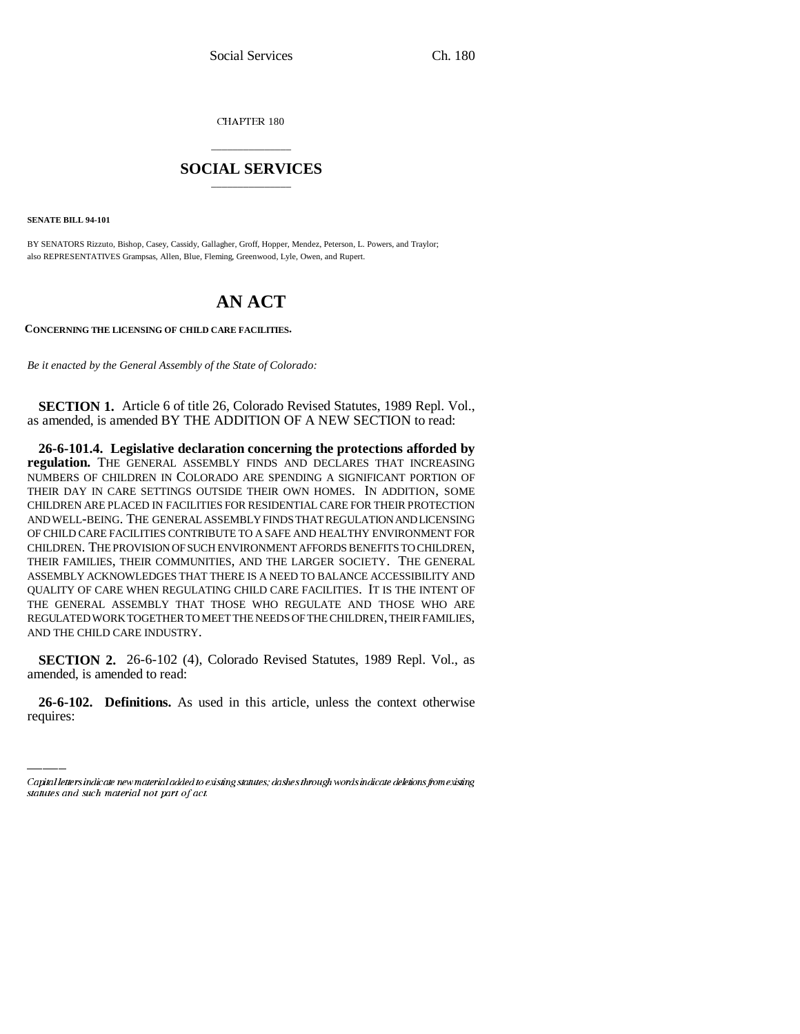CHAPTER 180

## \_\_\_\_\_\_\_\_\_\_\_\_\_\_\_ **SOCIAL SERVICES** \_\_\_\_\_\_\_\_\_\_\_\_\_\_\_

**SENATE BILL 94-101**

BY SENATORS Rizzuto, Bishop, Casey, Cassidy, Gallagher, Groff, Hopper, Mendez, Peterson, L. Powers, and Traylor; also REPRESENTATIVES Grampsas, Allen, Blue, Fleming, Greenwood, Lyle, Owen, and Rupert.

# **AN ACT**

**CONCERNING THE LICENSING OF CHILD CARE FACILITIES.**

*Be it enacted by the General Assembly of the State of Colorado:*

**SECTION 1.** Article 6 of title 26, Colorado Revised Statutes, 1989 Repl. Vol., as amended, is amended BY THE ADDITION OF A NEW SECTION to read:

**26-6-101.4. Legislative declaration concerning the protections afforded by regulation.** THE GENERAL ASSEMBLY FINDS AND DECLARES THAT INCREASING NUMBERS OF CHILDREN IN COLORADO ARE SPENDING A SIGNIFICANT PORTION OF THEIR DAY IN CARE SETTINGS OUTSIDE THEIR OWN HOMES. IN ADDITION, SOME CHILDREN ARE PLACED IN FACILITIES FOR RESIDENTIAL CARE FOR THEIR PROTECTION AND WELL-BEING. THE GENERAL ASSEMBLY FINDS THAT REGULATION AND LICENSING OF CHILD CARE FACILITIES CONTRIBUTE TO A SAFE AND HEALTHY ENVIRONMENT FOR CHILDREN. THE PROVISION OF SUCH ENVIRONMENT AFFORDS BENEFITS TO CHILDREN, THEIR FAMILIES, THEIR COMMUNITIES, AND THE LARGER SOCIETY. THE GENERAL ASSEMBLY ACKNOWLEDGES THAT THERE IS A NEED TO BALANCE ACCESSIBILITY AND QUALITY OF CARE WHEN REGULATING CHILD CARE FACILITIES. IT IS THE INTENT OF THE GENERAL ASSEMBLY THAT THOSE WHO REGULATE AND THOSE WHO ARE REGULATED WORK TOGETHER TO MEET THE NEEDS OF THE CHILDREN, THEIR FAMILIES, AND THE CHILD CARE INDUSTRY.

amended, is amended to read: **SECTION 2.** 26-6-102 (4), Colorado Revised Statutes, 1989 Repl. Vol., as

**26-6-102. Definitions.** As used in this article, unless the context otherwise requires:

Capital letters indicate new material added to existing statutes; dashes through words indicate deletions from existing statutes and such material not part of act.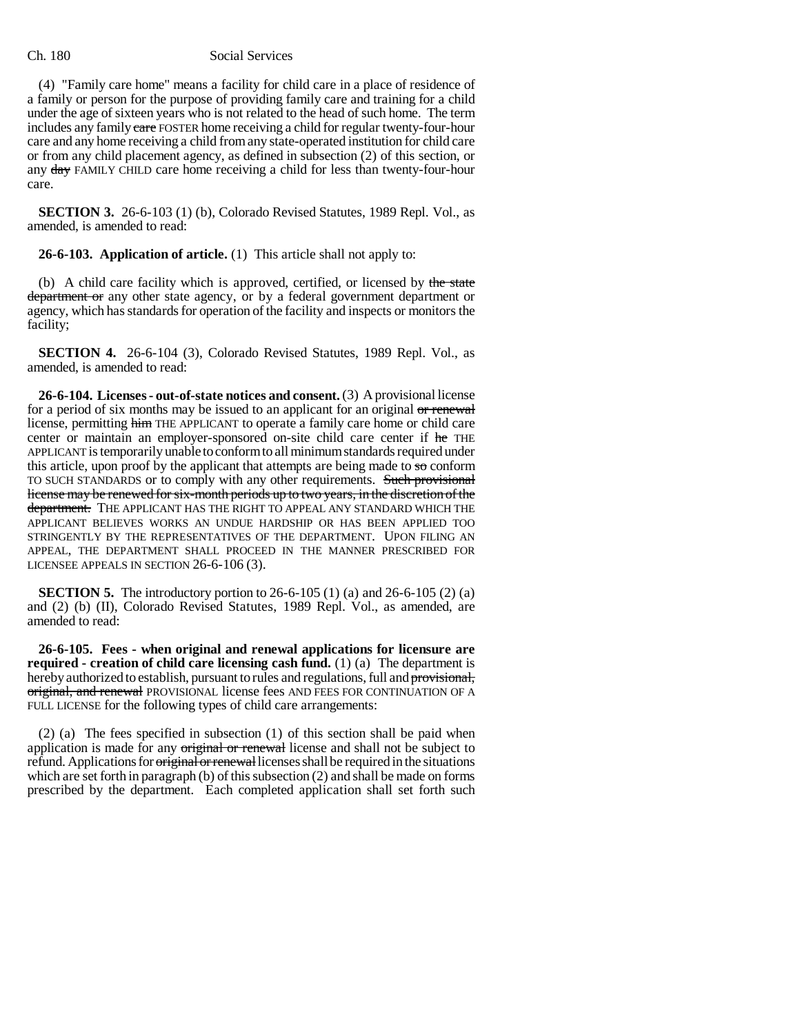### Ch. 180 Social Services

(4) "Family care home" means a facility for child care in a place of residence of a family or person for the purpose of providing family care and training for a child under the age of sixteen years who is not related to the head of such home. The term includes any family eare FOSTER home receiving a child for regular twenty-four-hour care and any home receiving a child from any state-operated institution for child care or from any child placement agency, as defined in subsection (2) of this section, or any day FAMILY CHILD care home receiving a child for less than twenty-four-hour care.

**SECTION 3.** 26-6-103 (1) (b), Colorado Revised Statutes, 1989 Repl. Vol., as amended, is amended to read:

**26-6-103. Application of article.** (1) This article shall not apply to:

(b) A child care facility which is approved, certified, or licensed by the state department or any other state agency, or by a federal government department or agency, which has standards for operation of the facility and inspects or monitors the facility;

**SECTION 4.** 26-6-104 (3), Colorado Revised Statutes, 1989 Repl. Vol., as amended, is amended to read:

**26-6-104. Licenses - out-of-state notices and consent.** (3) A provisional license for a period of six months may be issued to an applicant for an original or renewal license, permitting him THE APPLICANT to operate a family care home or child care center or maintain an employer-sponsored on-site child care center if he THE APPLICANT is temporarily unable to conform to all minimum standards required under this article, upon proof by the applicant that attempts are being made to  $\overline{s}$  conform TO SUCH STANDARDS or to comply with any other requirements. Such provisional license may be renewed for six-month periods up to two years, in the discretion of the department. THE APPLICANT HAS THE RIGHT TO APPEAL ANY STANDARD WHICH THE APPLICANT BELIEVES WORKS AN UNDUE HARDSHIP OR HAS BEEN APPLIED TOO STRINGENTLY BY THE REPRESENTATIVES OF THE DEPARTMENT. UPON FILING AN APPEAL, THE DEPARTMENT SHALL PROCEED IN THE MANNER PRESCRIBED FOR LICENSEE APPEALS IN SECTION 26-6-106 (3).

**SECTION 5.** The introductory portion to 26-6-105 (1) (a) and 26-6-105 (2) (a) and (2) (b) (II), Colorado Revised Statutes, 1989 Repl. Vol., as amended, are amended to read:

**26-6-105. Fees - when original and renewal applications for licensure are required - creation of child care licensing cash fund.** (1) (a) The department is hereby authorized to establish, pursuant to rules and regulations, full and provisional, original, and renewal PROVISIONAL license fees AND FEES FOR CONTINUATION OF A FULL LICENSE for the following types of child care arrangements:

(2) (a) The fees specified in subsection (1) of this section shall be paid when application is made for any original or renewal license and shall not be subject to refund. Applications for *original or renewallicenses* shall be required in the situations which are set forth in paragraph (b) of this subsection (2) and shall be made on forms prescribed by the department. Each completed application shall set forth such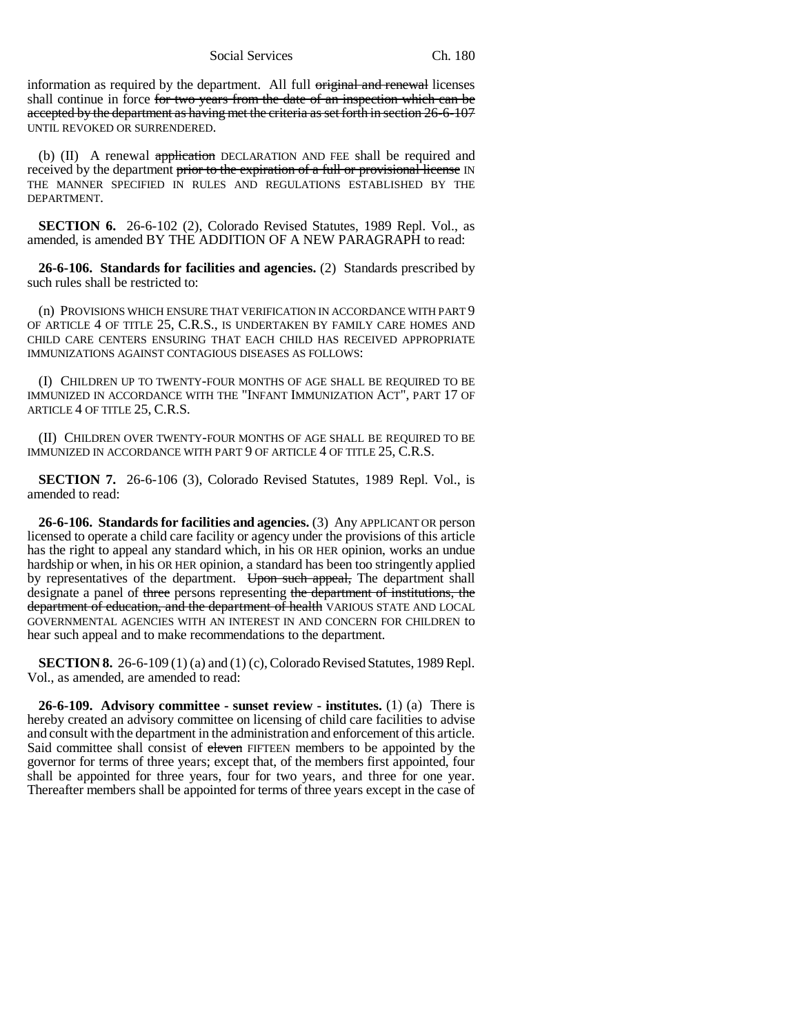Social Services Ch. 180

information as required by the department. All full original and renewal licenses shall continue in force for two years from the date of an inspection which can be accepted by the department as having met the criteria as set forth in section 26-6-107 UNTIL REVOKED OR SURRENDERED.

(b) (II) A renewal application DECLARATION AND FEE shall be required and received by the department prior to the expiration of a full or provisional license IN THE MANNER SPECIFIED IN RULES AND REGULATIONS ESTABLISHED BY THE DEPARTMENT.

**SECTION 6.** 26-6-102 (2), Colorado Revised Statutes, 1989 Repl. Vol., as amended, is amended BY THE ADDITION OF A NEW PARAGRAPH to read:

**26-6-106. Standards for facilities and agencies.** (2) Standards prescribed by such rules shall be restricted to:

(n) PROVISIONS WHICH ENSURE THAT VERIFICATION IN ACCORDANCE WITH PART 9 OF ARTICLE 4 OF TITLE 25, C.R.S., IS UNDERTAKEN BY FAMILY CARE HOMES AND CHILD CARE CENTERS ENSURING THAT EACH CHILD HAS RECEIVED APPROPRIATE IMMUNIZATIONS AGAINST CONTAGIOUS DISEASES AS FOLLOWS:

(I) CHILDREN UP TO TWENTY-FOUR MONTHS OF AGE SHALL BE REQUIRED TO BE IMMUNIZED IN ACCORDANCE WITH THE "INFANT IMMUNIZATION ACT", PART 17 OF ARTICLE 4 OF TITLE 25, C.R.S.

(II) CHILDREN OVER TWENTY-FOUR MONTHS OF AGE SHALL BE REQUIRED TO BE IMMUNIZED IN ACCORDANCE WITH PART 9 OF ARTICLE 4 OF TITLE 25, C.R.S.

**SECTION 7.** 26-6-106 (3), Colorado Revised Statutes, 1989 Repl. Vol., is amended to read:

**26-6-106. Standards for facilities and agencies.** (3) Any APPLICANT OR person licensed to operate a child care facility or agency under the provisions of this article has the right to appeal any standard which, in his OR HER opinion, works an undue hardship or when, in his OR HER opinion, a standard has been too stringently applied by representatives of the department. Upon such appeal, The department shall designate a panel of three persons representing the department of institutions, the department of education, and the department of health VARIOUS STATE AND LOCAL GOVERNMENTAL AGENCIES WITH AN INTEREST IN AND CONCERN FOR CHILDREN to hear such appeal and to make recommendations to the department.

**SECTION 8.** 26-6-109 (1) (a) and (1) (c), Colorado Revised Statutes, 1989 Repl. Vol., as amended, are amended to read:

**26-6-109. Advisory committee - sunset review - institutes.** (1) (a) There is hereby created an advisory committee on licensing of child care facilities to advise and consult with the department in the administration and enforcement of this article. Said committee shall consist of eleven FIFTEEN members to be appointed by the governor for terms of three years; except that, of the members first appointed, four shall be appointed for three years, four for two years, and three for one year. Thereafter members shall be appointed for terms of three years except in the case of